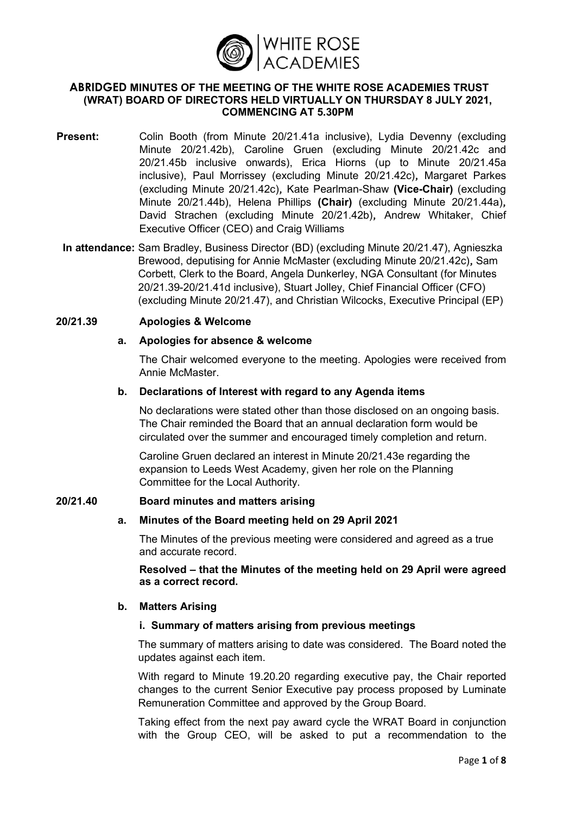

### **ABRIDGED MINUTES OF THE MEETING OF THE WHITE ROSE ACADEMIES TRUST (WRAT) BOARD OF DIRECTORS HELD VIRTUALLY ON THURSDAY 8 JULY 2021, COMMENCING AT 5.30PM**

- **Present:** Colin Booth (from Minute 20/21.41a inclusive), Lydia Devenny (excluding Minute 20/21.42b), Caroline Gruen (excluding Minute 20/21.42c and 20/21.45b inclusive onwards), Erica Hiorns (up to Minute 20/21.45a inclusive), Paul Morrissey (excluding Minute 20/21.42c)**,** Margaret Parkes (excluding Minute 20/21.42c)**,** Kate Pearlman-Shaw **(Vice-Chair)** (excluding Minute 20/21.44b), Helena Phillips **(Chair)** (excluding Minute 20/21.44a)**,** David Strachen (excluding Minute 20/21.42b)**,** Andrew Whitaker, Chief Executive Officer (CEO) and Craig Williams
- **In attendance:** Sam Bradley, Business Director (BD) (excluding Minute 20/21.47), Agnieszka Brewood, deputising for Annie McMaster (excluding Minute 20/21.42c)**,** Sam Corbett, Clerk to the Board, Angela Dunkerley, NGA Consultant (for Minutes 20/21.39-20/21.41d inclusive), Stuart Jolley, Chief Financial Officer (CFO) (excluding Minute 20/21.47), and Christian Wilcocks, Executive Principal (EP)

#### **20/21.39 Apologies & Welcome**

#### **a. Apologies for absence & welcome**

The Chair welcomed everyone to the meeting. Apologies were received from Annie McMaster.

#### **b. Declarations of Interest with regard to any Agenda items**

No declarations were stated other than those disclosed on an ongoing basis. The Chair reminded the Board that an annual declaration form would be circulated over the summer and encouraged timely completion and return.

Caroline Gruen declared an interest in Minute 20/21.43e regarding the expansion to Leeds West Academy, given her role on the Planning Committee for the Local Authority.

### **20/21.40 Board minutes and matters arising**

### **a. Minutes of the Board meeting held on 29 April 2021**

The Minutes of the previous meeting were considered and agreed as a true and accurate record.

**Resolved – that the Minutes of the meeting held on 29 April were agreed as a correct record.**

### **b. Matters Arising**

#### **i. Summary of matters arising from previous meetings**

The summary of matters arising to date was considered. The Board noted the updates against each item.

With regard to Minute 19.20.20 regarding executive pay, the Chair reported changes to the current Senior Executive pay process proposed by Luminate Remuneration Committee and approved by the Group Board.

Taking effect from the next pay award cycle the WRAT Board in conjunction with the Group CEO, will be asked to put a recommendation to the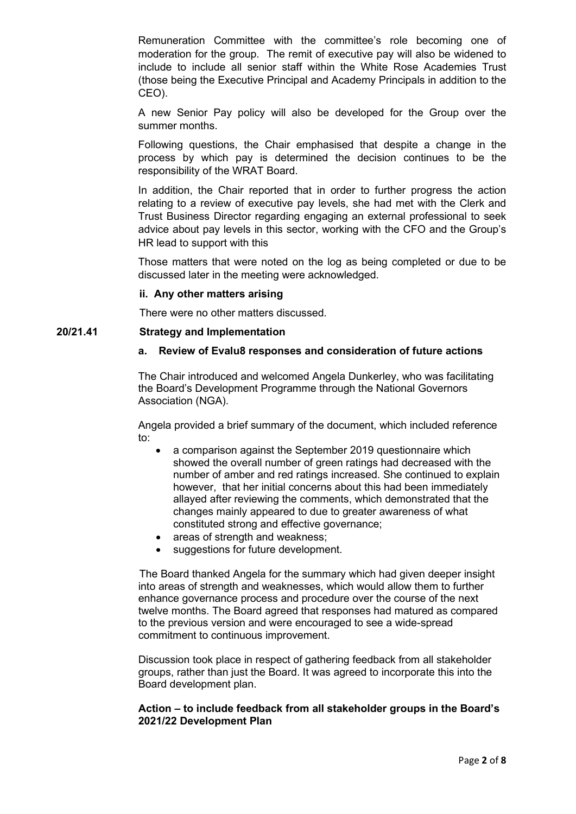Remuneration Committee with the committee's role becoming one of moderation for the group. The remit of executive pay will also be widened to include to include all senior staff within the White Rose Academies Trust (those being the Executive Principal and Academy Principals in addition to the CEO).

A new Senior Pay policy will also be developed for the Group over the summer months.

Following questions, the Chair emphasised that despite a change in the process by which pay is determined the decision continues to be the responsibility of the WRAT Board.

In addition, the Chair reported that in order to further progress the action relating to a review of executive pay levels, she had met with the Clerk and Trust Business Director regarding engaging an external professional to seek advice about pay levels in this sector, working with the CFO and the Group's HR lead to support with this

Those matters that were noted on the log as being completed or due to be discussed later in the meeting were acknowledged.

### **ii. Any other matters arising**

There were no other matters discussed.

### **20/21.41 Strategy and Implementation**

## **a. Review of Evalu8 responses and consideration of future actions**

The Chair introduced and welcomed Angela Dunkerley, who was facilitating the Board's Development Programme through the National Governors Association (NGA).

Angela provided a brief summary of the document, which included reference to:

- a comparison against the September 2019 questionnaire which showed the overall number of green ratings had decreased with the number of amber and red ratings increased. She continued to explain however, that her initial concerns about this had been immediately allayed after reviewing the comments, which demonstrated that the changes mainly appeared to due to greater awareness of what constituted strong and effective governance;
- areas of strength and weakness:
- suggestions for future development.

The Board thanked Angela for the summary which had given deeper insight into areas of strength and weaknesses, which would allow them to further enhance governance process and procedure over the course of the next twelve months. The Board agreed that responses had matured as compared to the previous version and were encouraged to see a wide-spread commitment to continuous improvement.

Discussion took place in respect of gathering feedback from all stakeholder groups, rather than just the Board. It was agreed to incorporate this into the Board development plan.

### **Action – to include feedback from all stakeholder groups in the Board's 2021/22 Development Plan**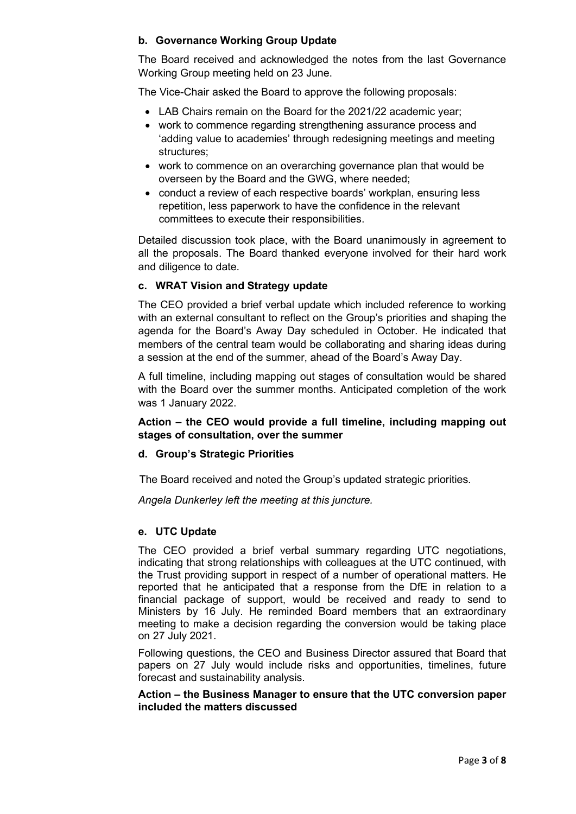# **b. Governance Working Group Update**

The Board received and acknowledged the notes from the last Governance Working Group meeting held on 23 June.

The Vice-Chair asked the Board to approve the following proposals:

- LAB Chairs remain on the Board for the 2021/22 academic year;
- work to commence regarding strengthening assurance process and 'adding value to academies' through redesigning meetings and meeting structures;
- work to commence on an overarching governance plan that would be overseen by the Board and the GWG, where needed;
- conduct a review of each respective boards' workplan, ensuring less repetition, less paperwork to have the confidence in the relevant committees to execute their responsibilities.

Detailed discussion took place, with the Board unanimously in agreement to all the proposals. The Board thanked everyone involved for their hard work and diligence to date.

# **c. WRAT Vision and Strategy update**

The CEO provided a brief verbal update which included reference to working with an external consultant to reflect on the Group's priorities and shaping the agenda for the Board's Away Day scheduled in October. He indicated that members of the central team would be collaborating and sharing ideas during a session at the end of the summer, ahead of the Board's Away Day.

A full timeline, including mapping out stages of consultation would be shared with the Board over the summer months. Anticipated completion of the work was 1 January 2022.

# **Action – the CEO would provide a full timeline, including mapping out stages of consultation, over the summer**

## **d. Group's Strategic Priorities**

The Board received and noted the Group's updated strategic priorities.

*Angela Dunkerley left the meeting at this juncture.*

## **e. UTC Update**

The CEO provided a brief verbal summary regarding UTC negotiations, indicating that strong relationships with colleagues at the UTC continued, with the Trust providing support in respect of a number of operational matters. He reported that he anticipated that a response from the DfE in relation to a financial package of support, would be received and ready to send to Ministers by 16 July. He reminded Board members that an extraordinary meeting to make a decision regarding the conversion would be taking place on 27 July 2021.

Following questions, the CEO and Business Director assured that Board that papers on 27 July would include risks and opportunities, timelines, future forecast and sustainability analysis.

### **Action – the Business Manager to ensure that the UTC conversion paper included the matters discussed**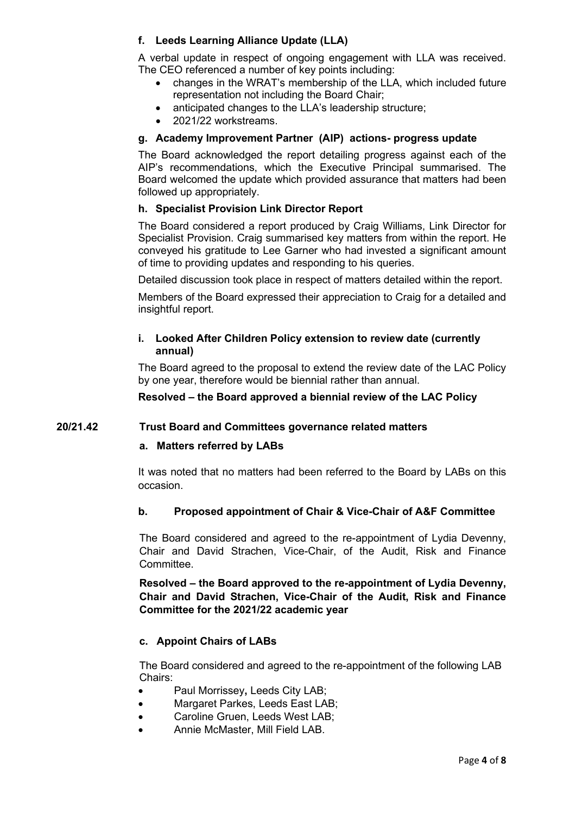# **f. Leeds Learning Alliance Update (LLA)**

A verbal update in respect of ongoing engagement with LLA was received. The CEO referenced a number of key points including:<br>**•** changes in the WRAT's membership of the LLA

- changes in the WRAT's membership of the LLA, which included future representation not including the Board Chair;
- anticipated changes to the LLA's leadership structure;
- 2021/22 workstreams.

## **g. Academy Improvement Partner (AIP) actions- progress update**

The Board acknowledged the report detailing progress against each of the AIP's recommendations, which the Executive Principal summarised. The Board welcomed the update which provided assurance that matters had been followed up appropriately.

## **h. Specialist Provision Link Director Report**

The Board considered a report produced by Craig Williams, Link Director for Specialist Provision. Craig summarised key matters from within the report. He conveyed his gratitude to Lee Garner who had invested a significant amount of time to providing updates and responding to his queries.

Detailed discussion took place in respect of matters detailed within the report.

Members of the Board expressed their appreciation to Craig for a detailed and insightful report.

## **i. Looked After Children Policy extension to review date (currently annual)**

The Board agreed to the proposal to extend the review date of the LAC Policy by one year, therefore would be biennial rather than annual.

### **Resolved – the Board approved a biennial review of the LAC Policy**

### **20/21.42 Trust Board and Committees governance related matters**

### **a. Matters referred by LABs**

It was noted that no matters had been referred to the Board by LABs on this occasion.

### **b. Proposed appointment of Chair & Vice-Chair of A&F Committee**

The Board considered and agreed to the re-appointment of Lydia Devenny, Chair and David Strachen, Vice-Chair, of the Audit, Risk and Finance Committee.

**Resolved – the Board approved to the re-appointment of Lydia Devenny, Chair and David Strachen, Vice-Chair of the Audit, Risk and Finance Committee for the 2021/22 academic year**

## **c. Appoint Chairs of LABs**

The Board considered and agreed to the re-appointment of the following LAB Chairs:

- Paul Morrissey**,** Leeds City LAB;
- Margaret Parkes, Leeds East LAB;
- Caroline Gruen, Leeds West LAB;
- Annie McMaster, Mill Field LAB.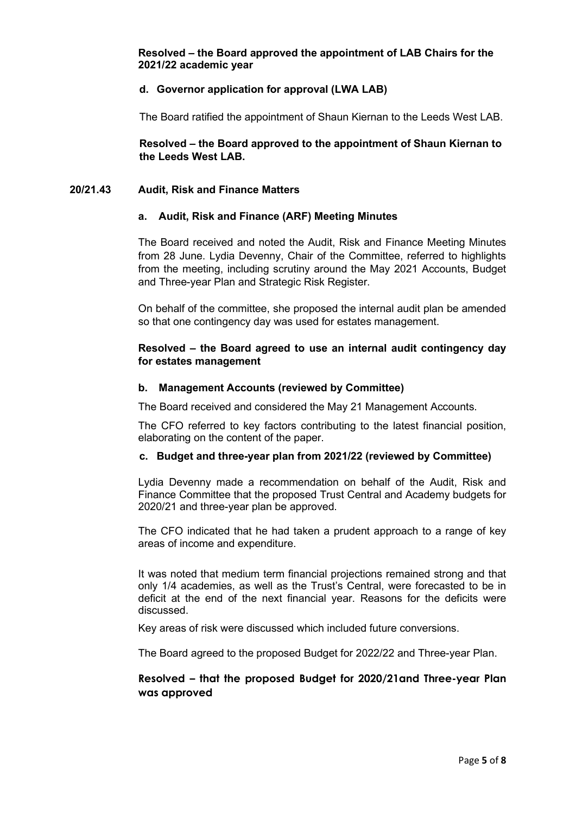**Resolved – the Board approved the appointment of LAB Chairs for the 2021/22 academic year**

### **d. Governor application for approval (LWA LAB)**

The Board ratified the appointment of Shaun Kiernan to the Leeds West LAB.

**Resolved – the Board approved to the appointment of Shaun Kiernan to the Leeds West LAB.**

### **20/21.43 Audit, Risk and Finance Matters**

### **a. Audit, Risk and Finance (ARF) Meeting Minutes**

The Board received and noted the Audit, Risk and Finance Meeting Minutes from 28 June. Lydia Devenny, Chair of the Committee, referred to highlights from the meeting, including scrutiny around the May 2021 Accounts, Budget and Three-year Plan and Strategic Risk Register.

On behalf of the committee, she proposed the internal audit plan be amended so that one contingency day was used for estates management.

## **Resolved – the Board agreed to use an internal audit contingency day for estates management**

#### **b. Management Accounts (reviewed by Committee)**

The Board received and considered the May 21 Management Accounts.

The CFO referred to key factors contributing to the latest financial position, elaborating on the content of the paper.

### **c. Budget and three-year plan from 2021/22 (reviewed by Committee)**

Lydia Devenny made a recommendation on behalf of the Audit, Risk and Finance Committee that the proposed Trust Central and Academy budgets for 2020/21 and three-year plan be approved.

The CFO indicated that he had taken a prudent approach to a range of key areas of income and expenditure.

It was noted that medium term financial projections remained strong and that only 1/4 academies, as well as the Trust's Central, were forecasted to be in deficit at the end of the next financial year. Reasons for the deficits were discussed.

Key areas of risk were discussed which included future conversions.

The Board agreed to the proposed Budget for 2022/22 and Three-year Plan.

## **Resolved – that the proposed Budget for 2020/21and Three-year Plan was approved**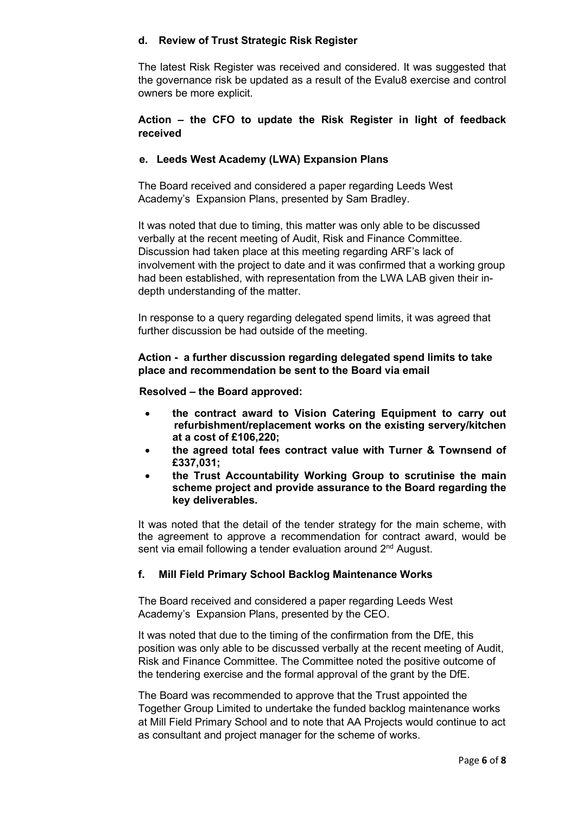## **d. Review of Trust Strategic Risk Register**

The latest Risk Register was received and considered. It was suggested that the governance risk be updated as a result of the Evalu8 exercise and control owners be more explicit.

# **Action – the CFO to update the Risk Register in light of feedback received**

# **e. Leeds West Academy (LWA) Expansion Plans**

The Board received and considered a paper regarding Leeds West Academy's Expansion Plans, presented by Sam Bradley.

It was noted that due to timing, this matter was only able to be discussed verbally at the recent meeting of Audit, Risk and Finance Committee. Discussion had taken place at this meeting regarding ARF's lack of involvement with the project to date and it was confirmed that a working group had been established, with representation from the LWA LAB given their indepth understanding of the matter.

In response to a query regarding delegated spend limits, it was agreed that further discussion be had outside of the meeting.

## **Action - a further discussion regarding delegated spend limits to take place and recommendation be sent to the Board via email**

## **Resolved – the Board approved:**

- **the contract award to Vision Catering Equipment to carry out refurbishment/replacement works on the existing servery/kitchen at a cost of £106,220;**
- **the agreed total fees contract value with Turner & Townsend of £337,031;**
- **the Trust Accountability Working Group to scrutinise the main scheme project and provide assurance to the Board regarding the key deliverables.**

It was noted that the detail of the tender strategy for the main scheme, with the agreement to approve a recommendation for contract award, would be sent via email following a tender evaluation around 2<sup>nd</sup> August.

# **f. Mill Field Primary School Backlog Maintenance Works**

The Board received and considered a paper regarding Leeds West Academy's Expansion Plans, presented by the CEO.

It was noted that due to the timing of the confirmation from the DfE, this position was only able to be discussed verbally at the recent meeting of Audit, Risk and Finance Committee. The Committee noted the positive outcome of the tendering exercise and the formal approval of the grant by the DfE.

The Board was recommended to approve that the Trust appointed the Together Group Limited to undertake the funded backlog maintenance works at Mill Field Primary School and to note that AA Projects would continue to act as consultant and project manager for the scheme of works.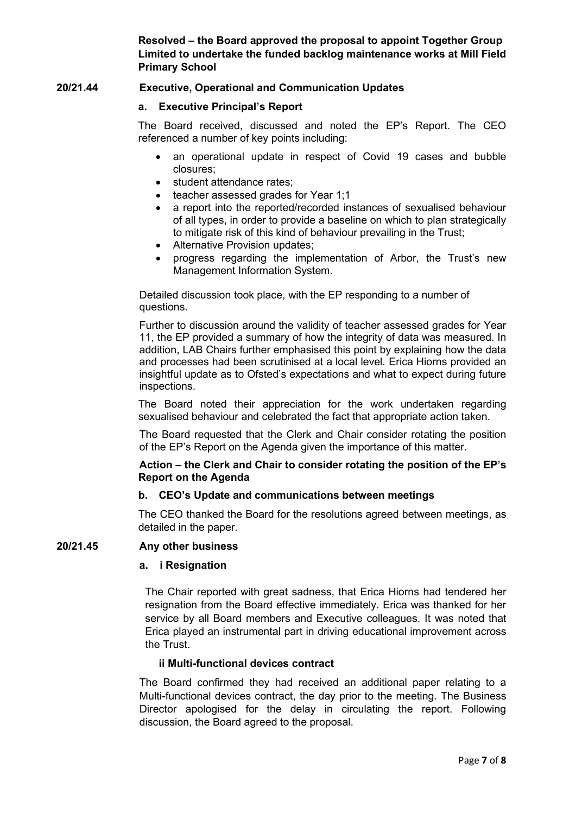**Resolved – the Board approved the proposal to appoint Together Group Limited to undertake the funded backlog maintenance works at Mill Field Primary School**

## **20/21.44 Executive, Operational and Communication Updates**

### **a. Executive Principal's Report**

The Board received, discussed and noted the EP's Report. The CEO referenced a number of key points including:

- an operational update in respect of Covid 19 cases and bubble closures;
- student attendance rates:
- teacher assessed grades for Year 1;1
- a report into the reported/recorded instances of sexualised behaviour of all types, in order to provide a baseline on which to plan strategically to mitigate risk of this kind of behaviour prevailing in the Trust;
- Alternative Provision updates;
- progress regarding the implementation of Arbor, the Trust's new Management Information System.

Detailed discussion took place, with the EP responding to a number of questions.

Further to discussion around the validity of teacher assessed grades for Year 11, the EP provided a summary of how the integrity of data was measured. In addition, LAB Chairs further emphasised this point by explaining how the data and processes had been scrutinised at a local level. Erica Hiorns provided an insightful update as to Ofsted's expectations and what to expect during future inspections.

The Board noted their appreciation for the work undertaken regarding sexualised behaviour and celebrated the fact that appropriate action taken.

The Board requested that the Clerk and Chair consider rotating the position of the EP's Report on the Agenda given the importance of this matter.

## **Action – the Clerk and Chair to consider rotating the position of the EP's Report on the Agenda**

## **b. CEO's Update and communications between meetings**

The CEO thanked the Board for the resolutions agreed between meetings, as detailed in the paper.

# **20/21.45 Any other business**

### **a. i Resignation**

The Chair reported with great sadness, that Erica Hiorns had tendered her resignation from the Board effective immediately. Erica was thanked for her service by all Board members and Executive colleagues. It was noted that Erica played an instrumental part in driving educational improvement across the Trust.

## **ii Multi-functional devices contract**

The Board confirmed they had received an additional paper relating to a Multi-functional devices contract, the day prior to the meeting. The Business Director apologised for the delay in circulating the report. Following discussion, the Board agreed to the proposal.